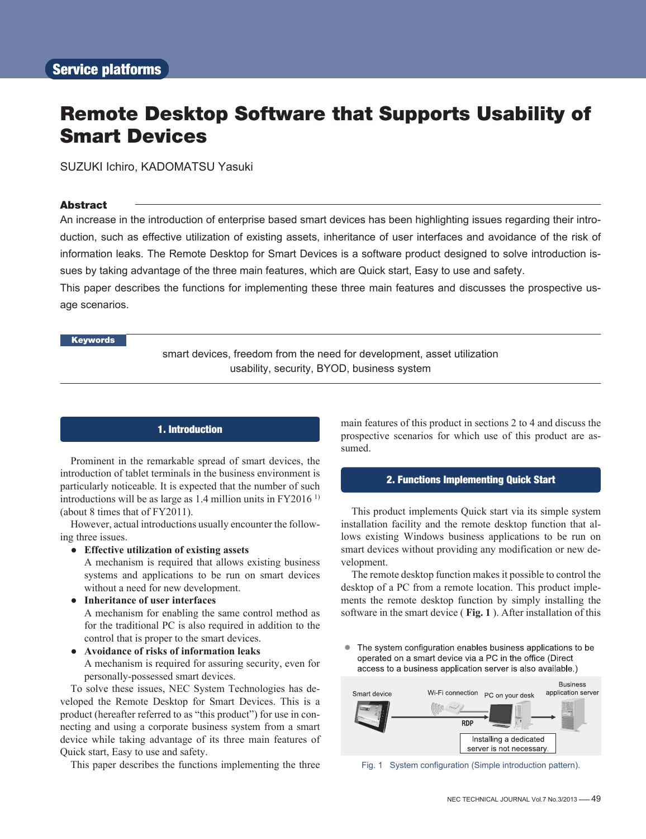# Remote Desktop Software that Supports Usability of Smart Devices

SUZUKI Ichiro, KADOMATSU Yasuki

### **Abstract**

An increase in the introduction of enterprise based smart devices has been highlighting issues regarding their introduction, such as effective utilization of existing assets, inheritance of user interfaces and avoidance of the risk of information leaks. The Remote Desktop for Smart Devices is a software product designed to solve introduction issues by taking advantage of the three main features, which are Quick start, Easy to use and safety.

This paper describes the functions for implementing these three main features and discusses the prospective usage scenarios.

# Keywords

smart devices, freedom from the need for development, asset utilization usability, security, BYOD, business system

# 1. Introduction

Prominent in the remarkable spread of smart devices, the introduction of tablet terminals in the business environment is particularly noticeable. It is expected that the number of such introductions will be as large as  $1.4$  million units in FY2016<sup>1)</sup> (about 8 times that of FY2011).

However, actual introductions usually encounter the following three issues.

**● Effective utilization of existing assets**

A mechanism is required that allows existing business systems and applications to be run on smart devices without a need for new development.

**● Inheritance of user interfaces**

A mechanism for enabling the same control method as for the traditional PC is also required in addition to the control that is proper to the smart devices.

**● Avoidance of risks of information leaks**

A mechanism is required for assuring security, even for personally-possessed smart devices.

To solve these issues, NEC System Technologies has developed the Remote Desktop for Smart Devices. This is a product (hereafter referred to as "this product") for use in connecting and using a corporate business system from a smart device while taking advantage of its three main features of Quick start, Easy to use and safety.

This paper describes the functions implementing the three

main features of this product in sections 2 to 4 and discuss the prospective scenarios for which use of this product are assumed.

### 2. Functions Implementing Quick Start

This product implements Quick start via its simple system installation facility and the remote desktop function that allows existing Windows business applications to be run on smart devices without providing any modification or new development.

The remote desktop function makes it possible to control the desktop of a PC from a remote location. This product implements the remote desktop function by simply installing the software in the smart device ( **Fig. 1** ). After installation of this

• The system configuration enables business applications to be operated on a smart device via a PC in the office (Direct access to a business application server is also available.)



Fig. 1 System configuration (Simple introduction pattern).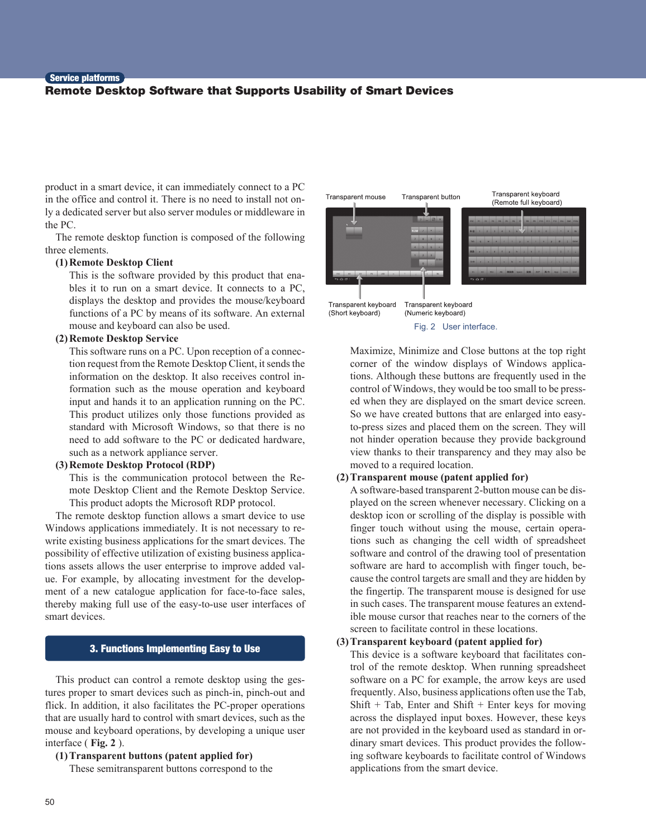#### Service platforms

# Remote Desktop Software that Supports Usability of Smart Devices

product in a smart device, it can immediately connect to a PC in the office and control it. There is no need to install not only a dedicated server but also server modules or middleware in the PC.

The remote desktop function is composed of the following three elements.

### **(1) Remote Desktop Client**

This is the software provided by this product that enables it to run on a smart device. It connects to a PC, displays the desktop and provides the mouse/keyboard functions of a PC by means of its software. An external mouse and keyboard can also be used.

# **(2) Remote Desktop Service**

This software runs on a PC. Upon reception of a connection request from the Remote Desktop Client, it sends the information on the desktop. It also receives control information such as the mouse operation and keyboard input and hands it to an application running on the PC. This product utilizes only those functions provided as standard with Microsoft Windows, so that there is no need to add software to the PC or dedicated hardware, such as a network appliance server.

#### **(3) Remote Desktop Protocol (RDP)**

This is the communication protocol between the Remote Desktop Client and the Remote Desktop Service. This product adopts the Microsoft RDP protocol.

The remote desktop function allows a smart device to use Windows applications immediately. It is not necessary to rewrite existing business applications for the smart devices. The possibility of effective utilization of existing business applications assets allows the user enterprise to improve added value. For example, by allocating investment for the development of a new catalogue application for face-to-face sales, thereby making full use of the easy-to-use user interfaces of smart devices.

# 3. Functions Implementing Easy to Use

This product can control a remote desktop using the gestures proper to smart devices such as pinch-in, pinch-out and flick. In addition, it also facilitates the PC-proper operations that are usually hard to control with smart devices, such as the mouse and keyboard operations, by developing a unique user interface ( **Fig. 2** ).

**(1) Transparent buttons (patent applied for)** These semitransparent buttons correspond to the



Fig. 2 User interface.

Maximize, Minimize and Close buttons at the top right corner of the window displays of Windows applications. Although these buttons are frequently used in the control of Windows, they would be too small to be pressed when they are displayed on the smart device screen. So we have created buttons that are enlarged into easyto-press sizes and placed them on the screen. They will not hinder operation because they provide background view thanks to their transparency and they may also be moved to a required location.

### **(2) Transparent mouse (patent applied for)**

A software-based transparent 2-button mouse can be displayed on the screen whenever necessary. Clicking on a desktop icon or scrolling of the display is possible with finger touch without using the mouse, certain operations such as changing the cell width of spreadsheet software and control of the drawing tool of presentation software are hard to accomplish with finger touch, because the control targets are small and they are hidden by the fingertip. The transparent mouse is designed for use in such cases. The transparent mouse features an extendible mouse cursor that reaches near to the corners of the screen to facilitate control in these locations.

# **(3) Transparent keyboard (patent applied for)**

This device is a software keyboard that facilitates control of the remote desktop. When running spreadsheet software on a PC for example, the arrow keys are used frequently. Also, business applications often use the Tab, Shift + Tab, Enter and Shift + Enter keys for moving across the displayed input boxes. However, these keys are not provided in the keyboard used as standard in ordinary smart devices. This product provides the following software keyboards to facilitate control of Windows applications from the smart device.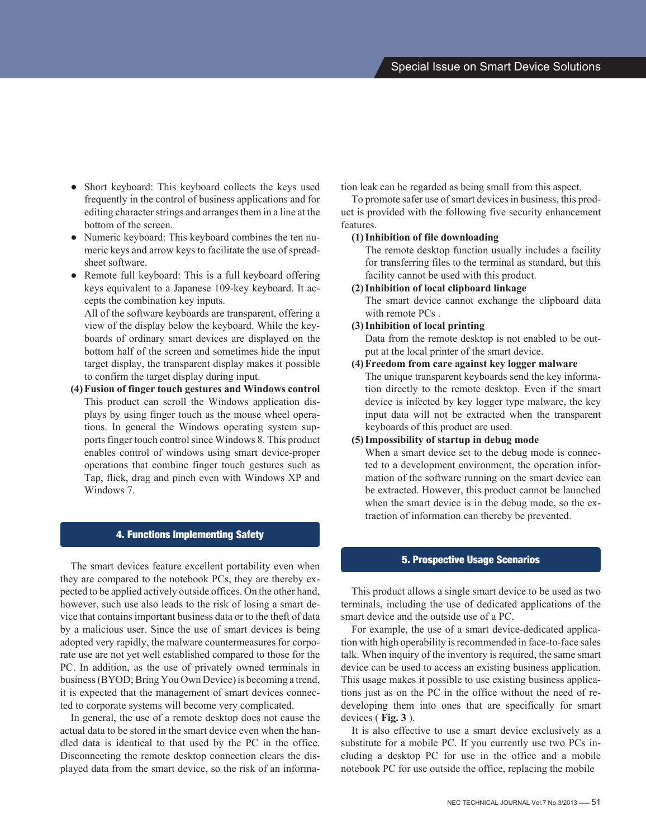- Short keyboard: This keyboard collects the keys used frequently in the control of business applications and for editing character strings and arranges them in a line at the bottom of the screen.
- Numeric keyboard: This keyboard combines the ten numeric keys and arrow keys to facilitate the use of spreadsheet software.
- Remote full keyboard: This is a full keyboard offering keys equivalent to a Japanese 109-key keyboard. It accepts the combination key inputs.

All of the software keyboards are transparent, offering a view of the display below the keyboard. While the keyboards of ordinary smart devices are displayed on the bottom half of the screen and sometimes hide the input target display, the transparent display makes it possible to confirm the target display during input.

**(4) Fusion of finger touch gestures and Windows control** This product can scroll the Windows application displays by using finger touch as the mouse wheel operations. In general the Windows operating system supports finger touch control since Windows 8. This product enables control of windows using smart device-proper operations that combine finger touch gestures such as Tap, flick, drag and pinch even with Windows XP and Windows 7.

# 4. Functions Implementing Safety

The smart devices feature excellent portability even when they are compared to the notebook PCs, they are thereby expected to be applied actively outside offices. On the other hand, however, such use also leads to the risk of losing a smart device that contains important business data or to the theft of data by a malicious user. Since the use of smart devices is being adopted very rapidly, the malware countermeasures for corporate use are not yet well established compared to those for the PC. In addition, as the use of privately owned terminals in business (BYOD; Bring You Own Device) is becoming a trend, it is expected that the management of smart devices connected to corporate systems will become very complicated.

In general, the use of a remote desktop does not cause the actual data to be stored in the smart device even when the handled data is identical to that used by the PC in the office. Disconnecting the remote desktop connection clears the displayed data from the smart device, so the risk of an information leak can be regarded as being small from this aspect.

To promote safer use of smart devices in business, this product is provided with the following five security enhancement features.

# **(1) Inhibition of file downloading**

The remote desktop function usually includes a facility for transferring files to the terminal as standard, but this facility cannot be used with this product.

# **(2) Inhibition of local clipboard linkage**

The smart device cannot exchange the clipboard data with remote PCs .

# **(3) Inhibition of local printing**

Data from the remote desktop is not enabled to be output at the local printer of the smart device.

# **(4) Freedom from care against key logger malware**

The unique transparent keyboards send the key information directly to the remote desktop. Even if the smart device is infected by key logger type malware, the key input data will not be extracted when the transparent keyboards of this product are used.

# **(5) Impossibility of startup in debug mode**

When a smart device set to the debug mode is connected to a development environment, the operation information of the software running on the smart device can be extracted. However, this product cannot be launched when the smart device is in the debug mode, so the extraction of information can thereby be prevented.

# 5. Prospective Usage Scenarios

This product allows a single smart device to be used as two terminals, including the use of dedicated applications of the smart device and the outside use of a PC.

For example, the use of a smart device-dedicated application with high operability is recommended in face-to-face sales talk. When inquiry of the inventory is required, the same smart device can be used to access an existing business application. This usage makes it possible to use existing business applications just as on the PC in the office without the need of redeveloping them into ones that are specifically for smart devices ( **Fig. 3** ).

It is also effective to use a smart device exclusively as a substitute for a mobile PC. If you currently use two PCs including a desktop PC for use in the office and a mobile notebook PC for use outside the office, replacing the mobile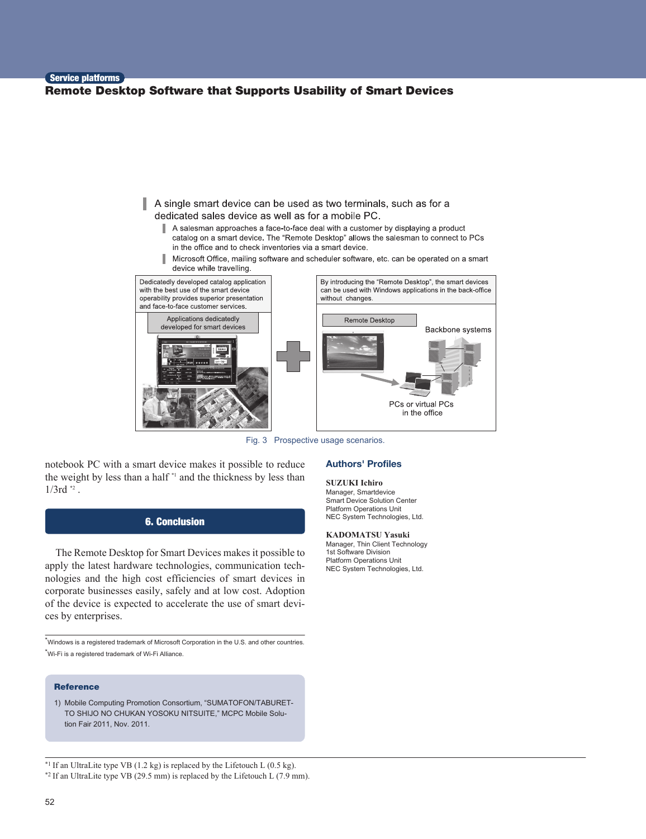# Service platforms Remote Desktop Software that Supports Usability of Smart Devices



Fig. 3 Prospective usage scenarios.

notebook PC with a smart device makes it possible to reduce the weight by less than a half \*1 and the thickness by less than  $1/3$ rd  $2$ .

# 6. Conclusion

The Remote Desktop for Smart Devices makes it possible to apply the latest hardware technologies, communication technologies and the high cost efficiencies of smart devices in corporate businesses easily, safely and at low cost. Adoption of the device is expected to accelerate the use of smart devices by enterprises.

\*Windows is a registered trademark of Microsoft Corporation in the U.S. and other countries. \*Wi-Fi is a registered trademark of Wi-Fi Alliance.

#### **Reference**

1) Mobile Computing Promotion Consortium, "SUMATOFON/TABURET-TO SHIJO NO CHUKAN YOSOKU NITSUITE," MCPC Mobile Solution Fair 2011, Nov. 2011.

 $*$ <sup>1</sup> If an UltraLite type VB (1.2 kg) is replaced by the Lifetouch L (0.5 kg). \*2 If an UltraLite type VB (29.5 mm) is replaced by the Lifetouch L (7.9 mm).

#### **Authors' Profiles**

#### **SUZUKI Ichiro**

Manager, Smartdevice Smart Device Solution Center Platform Operations Unit NEC System Technologies, Ltd.

#### **KADOMATSU Yasuki**

Manager, Thin Client Technology 1st Software Division Platform Operations Unit NEC System Technologies, Ltd.